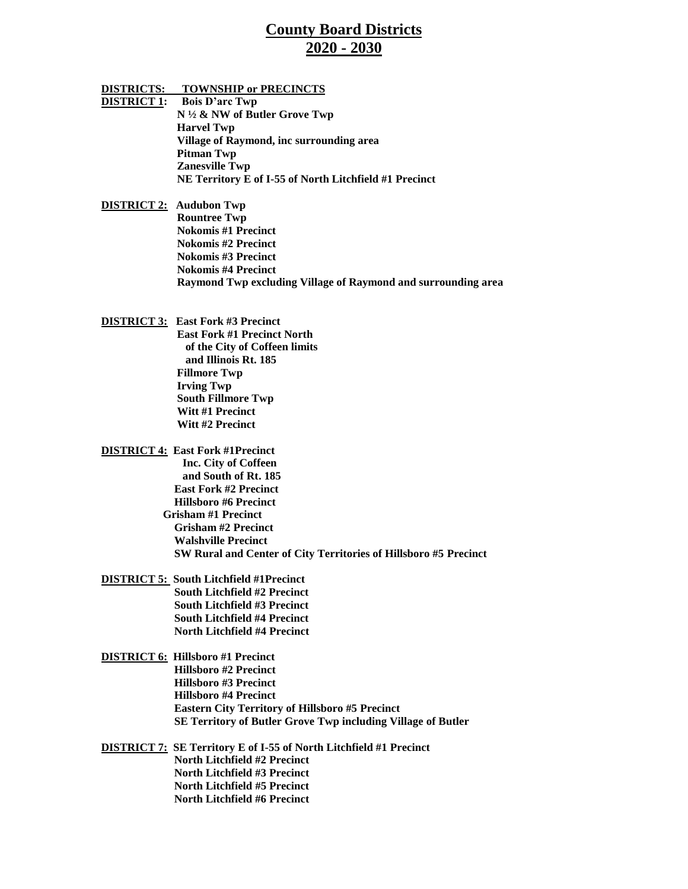## **County Board Districts 2020 - 2030**

**DISTRICTS: TOWNSHIP or PRECINCTS DISTRICT 1: Bois D'arc Twp N ½ & NW of Butler Grove Twp Harvel Twp Village of Raymond, inc surrounding area Pitman Twp Zanesville Twp NE Territory E of I-55 of North Litchfield #1 Precinct**

**DISTRICT 2: Audubon Twp Rountree Twp Nokomis #1 Precinct Nokomis #2 Precinct Nokomis #3 Precinct Nokomis #4 Precinct Raymond Twp excluding Village of Raymond and surrounding area**

**DISTRICT 3: East Fork #3 Precinct East Fork #1 Precinct North of the City of Coffeen limits and Illinois Rt. 185 Fillmore Twp Irving Twp South Fillmore Twp Witt #1 Precinct Witt #2 Precinct**

- **DISTRICT 4: East Fork #1Precinct Inc. City of Coffeen and South of Rt. 185 East Fork #2 Precinct Hillsboro #6 Precinct Grisham #1 Precinct Grisham #2 Precinct Walshville Precinct SW Rural and Center of City Territories of Hillsboro #5 Precinct**
- **DISTRICT 5: South Litchfield #1Precinct South Litchfield #2 Precinct South Litchfield #3 Precinct South Litchfield #4 Precinct North Litchfield #4 Precinct**
- **DISTRICT 6: Hillsboro #1 Precinct Hillsboro #2 Precinct Hillsboro #3 Precinct Hillsboro #4 Precinct Eastern City Territory of Hillsboro #5 Precinct SE Territory of Butler Grove Twp including Village of Butler**
- **DISTRICT 7: SE Territory E of I-55 of North Litchfield #1 Precinct North Litchfield #2 Precinct North Litchfield #3 Precinct North Litchfield #5 Precinct North Litchfield #6 Precinct**